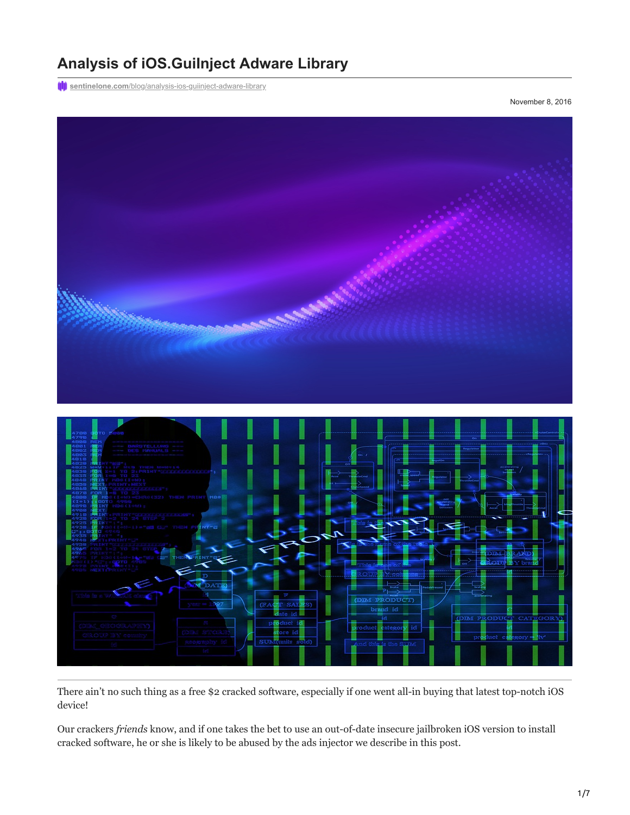# **Analysis of iOS.GuiInject Adware Library**

**(I)** sentinelone.com[/blog/analysis-ios-guiinject-adware-library](https://www.sentinelone.com/blog/analysis-ios-guiinject-adware-library/)

November 8, 2016



There ain't no such thing as a free \$2 cracked software, especially if one went all-in buying that latest top-notch iOS device!

Our crackers *friends* know, and if one takes the bet to use an out-of-date insecure jailbroken iOS version to install cracked software, he or she is likely to be abused by the ads injector we describe in this post.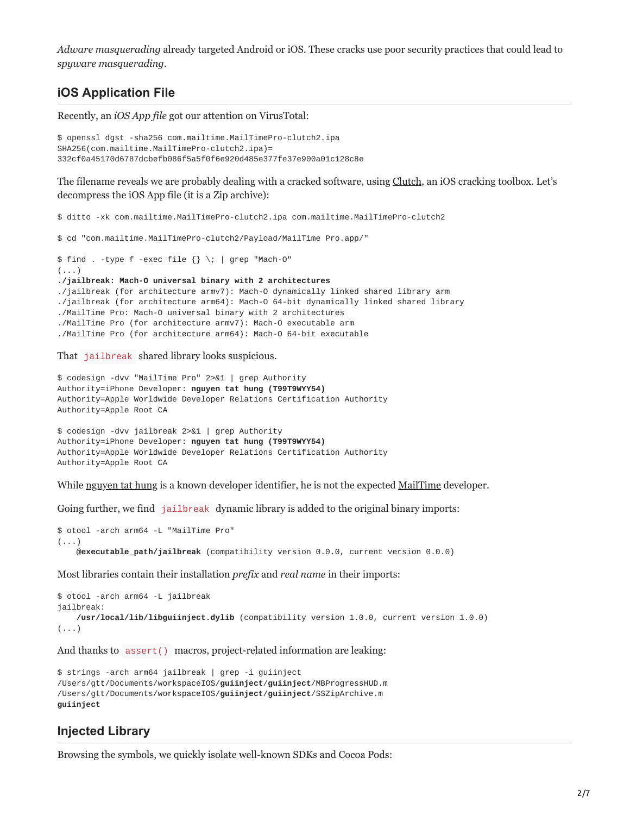*Adware masquerading* already targeted Android or iOS. These cracks use poor security practices that could lead to *spyware masquerading*.

### **iOS Application File**

Recently, an *iOS App file* got our attention on VirusTotal:

```
$ openssl dgst -sha256 com.mailtime.MailTimePro-clutch2.ipa
SHA256(com.mailtime.MailTimePro-clutch2.ipa)=
332cf0a45170d6787dcbefb086f5a5f0f6e920d485e377fe37e900a01c128c8e
```
The filename reveals we are probably dealing with a cracked software, using [Clutch,](https://github.com/KJCracks/Clutch) an iOS cracking toolbox. Let's decompress the iOS App file (it is a Zip archive):

\$ ditto -xk com.mailtime.MailTimePro-clutch2.ipa com.mailtime.MailTimePro-clutch2

\$ cd "com.mailtime.MailTimePro-clutch2/Payload/MailTime Pro.app/"

```
$ find . -type f -exec file {} \iint grep "Mach-O"(\ldots)./jailbreak: Mach-O universal binary with 2 architectures
./jailbreak (for architecture armv7): Mach-O dynamically linked shared library arm
./jailbreak (for architecture arm64): Mach-O 64-bit dynamically linked shared library
./MailTime Pro: Mach-O universal binary with 2 architectures
./MailTime Pro (for architecture armv7): Mach-O executable arm
./MailTime Pro (for architecture arm64): Mach-O 64-bit executable
```
That jailbreak shared library looks suspicious.

\$ codesign -dvv "MailTime Pro" 2>&1 | grep Authority Authority=iPhone Developer: **nguyen tat hung (T99T9WYY54)** Authority=Apple Worldwide Developer Relations Certification Authority Authority=Apple Root CA

```
$ codesign -dvv jailbreak 2>&1 | grep Authority
Authority=iPhone Developer: nguyen tat hung (T99T9WYY54)
Authority=Apple Worldwide Developer Relations Certification Authority
Authority=Apple Root CA
```
While [nguyen tat hung](https://itunes.apple.com/developer/id1080071292) is a known developer identifier, he is not the expected [MailTime](https://itunes.apple.com/app/id1025252985) developer.

Going further, we find jailbreak dynamic library is added to the original binary imports:

```
$ otool -arch arm64 -L "MailTime Pro"
(...)@executable_path/jailbreak (compatibility version 0.0.0, current version 0.0.0)
```
Most libraries contain their installation *prefix* and *real name* in their imports:

```
$ otool -arch arm64 -L jailbreak
jailbreak:
    /usr/local/lib/libguiinject.dylib (compatibility version 1.0.0, current version 1.0.0)
( \ldots )
```
And thanks to assert() macros, project-related information are leaking:

```
$ strings -arch arm64 jailbreak | grep -i guiinject
/Users/gtt/Documents/workspaceIOS/guiinject/guiinject/MBProgressHUD.m
/Users/gtt/Documents/workspaceIOS/guiinject/guiinject/SSZipArchive.m
guiinject
```
#### **Injected Library**

Browsing the symbols, we quickly isolate well-known SDKs and Cocoa Pods: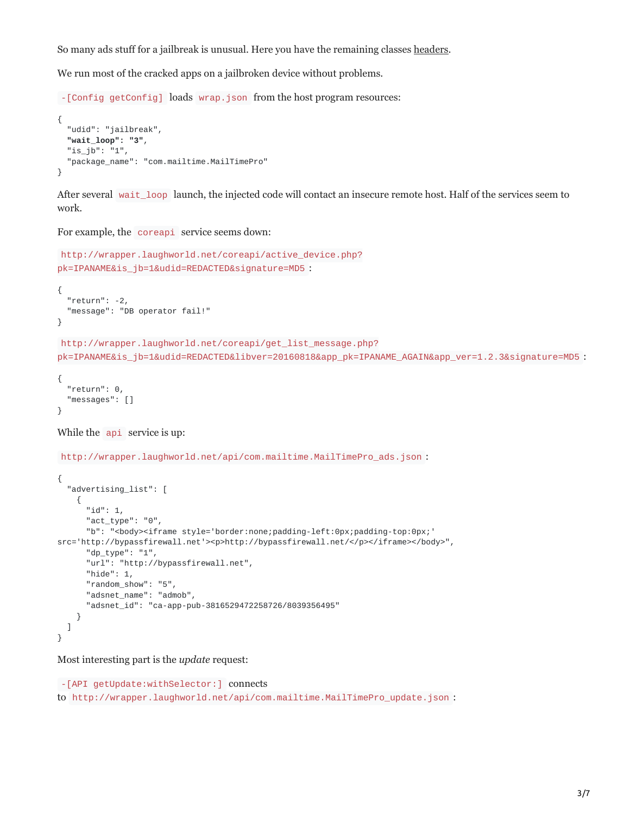So many ads stuff for a jailbreak is unusual. Here you have the remaining classes [headers.](https://pastebin.com/Zjw1eYk9)

We run most of the cracked apps on a jailbroken device without problems.

-[Config getConfig] loads wrap.json from the host program resources:

```
{
  "udid": "jailbreak",
  "wait_loop": "3",
  "is_jb": "1",
  "package_name": "com.mailtime.MailTimePro"
}
```
After several wait loop launch, the injected code will contact an insecure remote host. Half of the services seem to work.

For example, the coreapi service seems down:

```
http://wrapper.laughworld.net/coreapi/active_device.php?
pk=IPANAME&is_jb=1&udid=REDACTED&signature=MD5 :
{
  "return": -2,
  "message": "DB operator fail!"
}
http://wrapper.laughworld.net/coreapi/get_list_message.php?
pk=IPANAME&is_jb=1&udid=REDACTED&libver=20160818&app_pk=IPANAME_AGAIN&app_ver=1.2.3&signature=MD5 :
```

```
{
  "return": 0,
  "messages": []
}
```

```
While the api service is up:
```
http://wrapper.laughworld.net/api/com.mailtime.MailTimePro\_ads.json :

```
{
  "advertising_list": [
    {
      "id": 1,
      "act_type": "0",
      "b": "<body><iframe style='border:none;padding-left:0px;padding-top:0px;'
src='http://bypassfirewall.net'><p>http://bypassfirewall.net/</p></iframe></body>",
      "dp_type": "1",
      "url": "http://bypassfirewall.net",
      "hide": 1,"random_show": "5",
      "adsnet_name": "admob",
      "adsnet_id": "ca-app-pub-3816529472258726/8039356495"
   }
 ]
}
```
Most interesting part is the *update* request:

```
-[API getUpdate:withSelector:] connects
to http://wrapper.laughworld.net/api/com.mailtime.MailTimePro_update.json :
```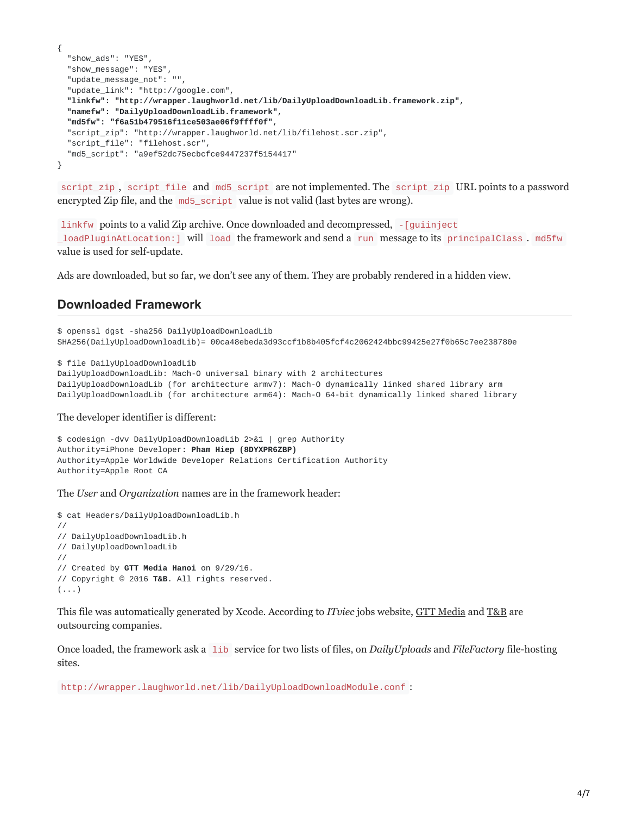```
{
  "show_ads": "YES",
  "show_message": "YES",
  "update_message_not": "",
  "update_link": "http://google.com",
  "linkfw": "http://wrapper.laughworld.net/lib/DailyUploadDownloadLib.framework.zip",
  "namefw": "DailyUploadDownloadLib.framework",
  "md5fw": "f6a51b479516f11ce503ae06f9ffff0f",
  "script_zip": "http://wrapper.laughworld.net/lib/filehost.scr.zip",
  "script_file": "filehost.scr",
  "md5_script": "a9ef52dc75ecbcfce9447237f5154417"
}
```
script\_zip , script\_file and md5\_script are not implemented. The script\_zip URL points to a password encrypted Zip file, and the md5\_script value is not valid (last bytes are wrong).

linkfw points to a valid Zip archive. Once downloaded and decompressed,  $\frac{1}{2}$  [guiinject] \_loadPluginAtLocation:] will load the framework and send a run message to its principalClass . md5fw value is used for self-update.

Ads are downloaded, but so far, we don't see any of them. They are probably rendered in a hidden view.

#### **Downloaded Framework**

```
$ openssl dgst -sha256 DailyUploadDownloadLib
SHA256(DailyUploadDownloadLib)= 00ca48ebeda3d93ccf1b8b405fcf4c2062424bbc99425e27f0b65c7ee238780e
$ file DailyUploadDownloadLib
DailyUploadDownloadLib: Mach-O universal binary with 2 architectures
DailyUploadDownloadLib (for architecture armv7): Mach-O dynamically linked shared library arm
DailyUploadDownloadLib (for architecture arm64): Mach-O 64-bit dynamically linked shared library
```
The developer identifier is different:

```
$ codesign -dvv DailyUploadDownloadLib 2>&1 | grep Authority
Authority=iPhone Developer: Pham Hiep (8DYXPR6ZBP)
Authority=Apple Worldwide Developer Relations Certification Authority
Authority=Apple Root CA
```
The *User* and *Organization* names are in the framework header:

```
$ cat Headers/DailyUploadDownloadLib.h
//
// DailyUploadDownloadLib.h
// DailyUploadDownloadLib
//
// Created by GTT Media Hanoi on 9/29/16.
// Copyright © 2016 T&B. All rights reserved.
(\ldots)
```
This file was automatically generated by Xcode. According to *ITviec* jobs website, [GTT Media](https://itviec.com/companies/gtt-media) and [T&B](https://itviec.com/companies/t-b) are outsourcing companies.

Once loaded, the framework ask a lib service for two lists of files, on *DailyUploads* and *FileFactory* file-hosting sites.

http://wrapper.laughworld.net/lib/DailyUploadDownloadModule.conf :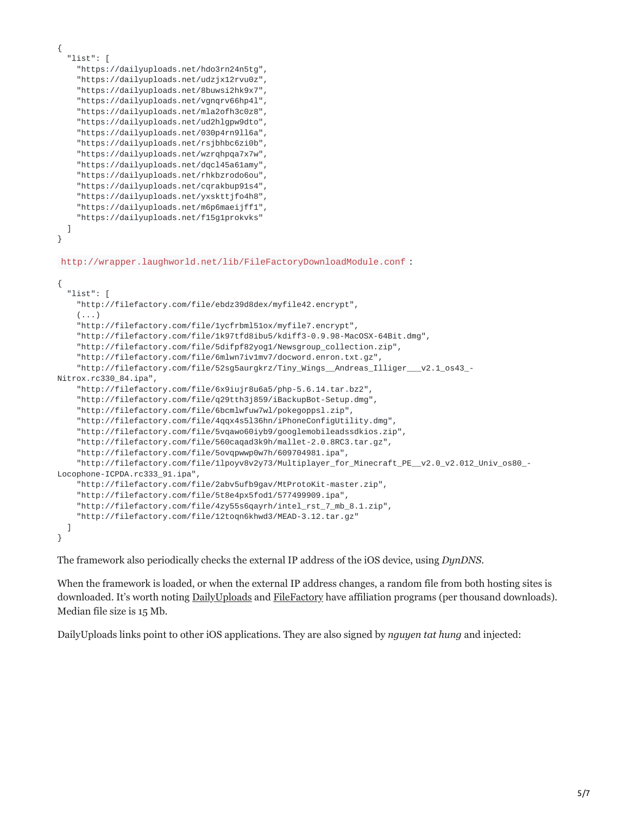```
{
  "list": [
    "https://dailyuploads.net/hdo3rn24n5tg",
    "https://dailyuploads.net/udzjx12rvu0z",
    "https://dailyuploads.net/8buwsi2hk9x7",
    "https://dailyuploads.net/vgnqrv66hp4l",
    "https://dailyuploads.net/mla2ofh3c0z8",
    "https://dailyuploads.net/ud2hlgpw9dto",
    "https://dailyuploads.net/030p4rn9ll6a",
    "https://dailyuploads.net/rsjbhbc6zi0b",
    "https://dailyuploads.net/wzrqhpqa7x7w",
    "https://dailyuploads.net/dqcl45a61amy",
    "https://dailyuploads.net/rhkbzrodo6ou",
    "https://dailyuploads.net/cqrakbup91s4",
    "https://dailyuploads.net/yxskttjfo4h8",
    "https://dailyuploads.net/m6p6maeijff1",
    "https://dailyuploads.net/f15g1prokvks"
  ]
}
http://wrapper.laughworld.net/lib/FileFactoryDownloadModule.conf :
{
  "list": [
    "http://filefactory.com/file/ebdz39d8dex/myfile42.encrypt",
    (\ldots)"http://filefactory.com/file/1ycfrbml51ox/myfile7.encrypt",
    "http://filefactory.com/file/1k97tfd8ibu5/kdiff3-0.9.98-MacOSX-64Bit.dmg",
    "http://filefactory.com/file/5difpf82yog1/Newsgroup_collection.zip",
    "http://filefactory.com/file/6mlwn7iv1mv7/docword.enron.txt.gz",
    "http://filefactory.com/file/52sg5aurgkrz/Tiny_Wings__Andreas_Illiger___v2.1_os43_-
Nitrox.rc330_84.ipa",
    "http://filefactory.com/file/6x9iujr8u6a5/php-5.6.14.tar.bz2",
    "http://filefactory.com/file/q29tth3j859/iBackupBot-Setup.dmg",
    "http://filefactory.com/file/6bcmlwfuw7wl/pokegoppsl.zip",
    "http://filefactory.com/file/4qqx4s5l36hn/iPhoneConfigUtility.dmg",
    "http://filefactory.com/file/5vqawo60iyb9/googlemobileadssdkios.zip",
    "http://filefactory.com/file/560caqad3k9h/mallet-2.0.8RC3.tar.gz",
    "http://filefactory.com/file/5ovqpwwp0w7h/609704981.ipa",
    "http://filefactory.com/file/1lpoyv8v2y73/Multiplayer_for_Minecraft_PE__v2.0_v2.012_Univ_os80_-
Locophone-ICPDA.rc333_91.ipa",
    "http://filefactory.com/file/2abv5ufb9gav/MtProtoKit-master.zip",
    "http://filefactory.com/file/5t8e4px5fod1/577499909.ipa",
    "http://filefactory.com/file/4zy55s6qayrh/intel_rst_7_mb_8.1.zip",
    "http://filefactory.com/file/12toqn6khwd3/MEAD-3.12.tar.gz"
  ]
}
```
The framework also periodically checks the external IP address of the iOS device, using *DynDNS*.

When the framework is loaded, or when the external IP address changes, a random file from both hosting sites is downloaded. It's worth noting [DailyUploads](https://dailyuploads.net/make-money.html) and [FileFactory](https://www.filefactory.com/services/affiliates/) have affiliation programs (per thousand downloads). Median file size is 15 Mb.

DailyUploads links point to other iOS applications. They are also signed by *nguyen tat hung* and injected: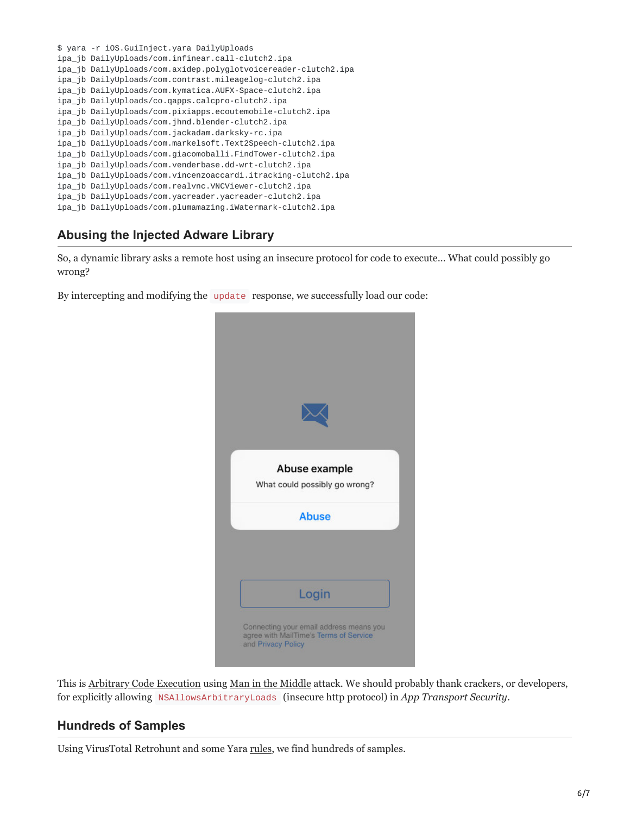\$ yara -r iOS.GuiInject.yara DailyUploads ipa\_jb DailyUploads/com.infinear.call-clutch2.ipa ipa\_jb DailyUploads/com.axidep.polyglotvoicereader-clutch2.ipa ipa\_jb DailyUploads/com.contrast.mileagelog-clutch2.ipa ipa\_jb DailyUploads/com.kymatica.AUFX-Space-clutch2.ipa ipa\_jb DailyUploads/co.qapps.calcpro-clutch2.ipa ipa\_jb DailyUploads/com.pixiapps.ecoutemobile-clutch2.ipa ipa\_jb DailyUploads/com.jhnd.blender-clutch2.ipa ipa\_jb DailyUploads/com.jackadam.darksky-rc.ipa ipa\_jb DailyUploads/com.markelsoft.Text2Speech-clutch2.ipa ipa\_jb DailyUploads/com.giacomoballi.FindTower-clutch2.ipa ipa\_jb DailyUploads/com.venderbase.dd-wrt-clutch2.ipa ipa\_jb DailyUploads/com.vincenzoaccardi.itracking-clutch2.ipa ipa\_jb DailyUploads/com.realvnc.VNCViewer-clutch2.ipa ipa\_jb DailyUploads/com.yacreader.yacreader-clutch2.ipa ipa\_jb DailyUploads/com.plumamazing.iWatermark-clutch2.ipa

## **Abusing the Injected Adware Library**

So, a dynamic library asks a remote host using an insecure protocol for code to execute… What could possibly go wrong?

By intercepting and modifying the update response, we successfully load our code:



This is [Arbitrary Code Execution](https://en.wikipedia.org/wiki/Arbitrary_code_execution) using [Man in the Middle](https://en.wikipedia.org/wiki/Man-in-the-middle_attack) attack. We should probably thank crackers, or developers, for explicitly allowing NSAllowsArbitraryLoads (insecure http protocol) in *App Transport Security*.

#### **Hundreds of Samples**

Using VirusTotal Retrohunt and some Yara [rules](https://pastebin.com/2W0tyUAF), we find hundreds of samples.